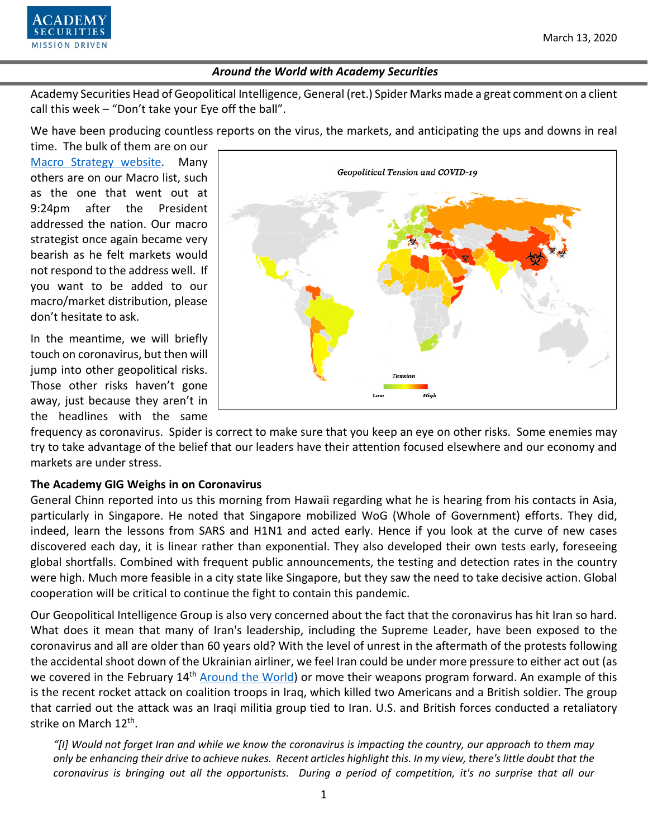

Academy Securities Head of Geopolitical Intelligence, General (ret.) Spider Marks made a great comment on a client call this week – "Don't take your Eye off the ball".

We have been producing countless reports on the virus, the markets, and anticipating the ups and downs in real

time. The bulk of them are on our [Macro Strategy website.](https://www.academysecurities.com/macro-strategy-insights/) Many others are on our Macro list, such as the one that went out at 9:24pm after the President addressed the nation. Our macro strategist once again became very bearish as he felt markets would not respond to the address well. If you want to be added to our macro/market distribution, please don't hesitate to ask.

In the meantime, we will briefly touch on coronavirus, but then will jump into other geopolitical risks. Those other risks haven't gone away, just because they aren't in the headlines with the same



frequency as coronavirus. Spider is correct to make sure that you keep an eye on other risks. Some enemies may try to take advantage of the belief that our leaders have their attention focused elsewhere and our economy and markets are under stress.

## **The Academy GIG Weighs in on Coronavirus**

General Chinn reported into us this morning from Hawaii regarding what he is hearing from his contacts in Asia, particularly in Singapore. He noted that Singapore mobilized WoG (Whole of Government) efforts. They did, indeed, learn the lessons from SARS and H1N1 and acted early. Hence if you look at the curve of new cases discovered each day, it is linear rather than exponential. They also developed their own tests early, foreseeing global shortfalls. Combined with frequent public announcements, the testing and detection rates in the country were high. Much more feasible in a city state like Singapore, but they saw the need to take decisive action. Global cooperation will be critical to continue the fight to contain this pandemic.

Our Geopolitical Intelligence Group is also very concerned about the fact that the coronavirus has hit Iran so hard. What does it mean that many of Iran's leadership, including the Supreme Leader, have been exposed to the coronavirus and all are older than 60 years old? With the level of unrest in the aftermath of the protests following the accidental shoot down of the Ukrainian airliner, we feel Iran could be under more pressure to either act out (as we covered in the February 14<sup>th</sup> [Around the World\)](https://www.academysecurities.com/wordpress/wp-content/uploads/2020/02/Around-the-World-with-Academy-Securities-2-14-20.pdf) or move their weapons program forward. An example of this is the recent rocket attack on coalition troops in Iraq, which killed two Americans and a British soldier. The group that carried out the attack was an Iraqi militia group tied to Iran. U.S. and British forces conducted a retaliatory strike on March 12th.

*"[I] Would not forget Iran and while we know the coronavirus is impacting the country, our approach to them may only be enhancing their drive to achieve nukes. Recent articles highlight this. In my view, there's little doubt that the coronavirus is bringing out all the opportunists. During a period of competition, it's no surprise that all our*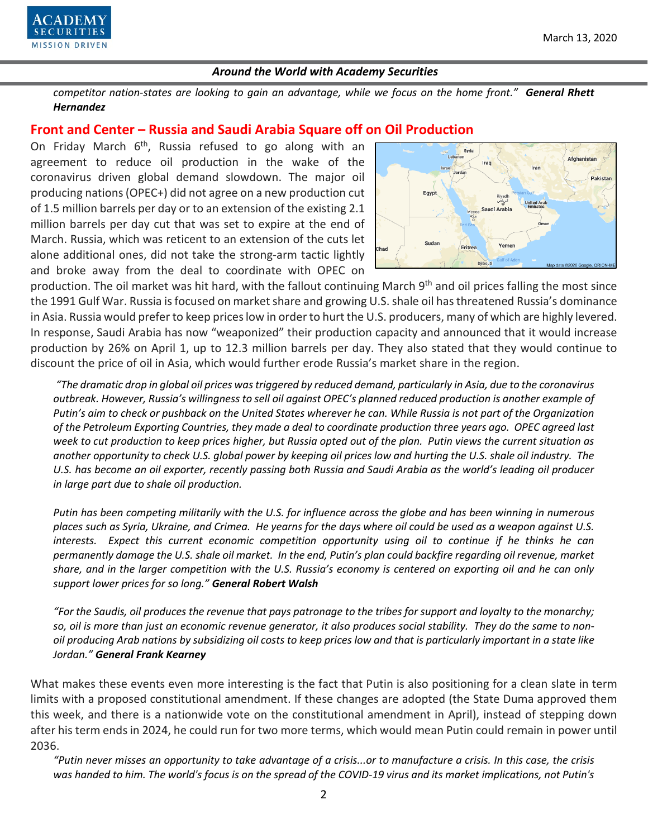

*competitor nation-states are looking to gain an advantage, while we focus on the home front." General Rhett Hernandez*

## **Front and Center – Russia and Saudi Arabia Square off on Oil Production**

On Friday March  $6<sup>th</sup>$ , Russia refused to go along with an agreement to reduce oil production in the wake of the coronavirus driven global demand slowdown. The major oil producing nations (OPEC+) did not agree on a new production cut of 1.5 million barrels per day or to an extension of the existing 2.1 million barrels per day cut that was set to expire at the end of March. Russia, which was reticent to an extension of the cuts let alone additional ones, did not take the strong-arm tactic lightly and broke away from the deal to coordinate with OPEC on



production. The oil market was hit hard, with the fallout continuing March 9<sup>th</sup> and oil prices falling the most since the 1991 Gulf War. Russia is focused on market share and growing U.S. shale oil has threatened Russia's dominance in Asia. Russia would prefer to keep prices low in order to hurt the U.S. producers, many of which are highly levered. In response, Saudi Arabia has now "weaponized" their production capacity and announced that it would increase production by 26% on April 1, up to 12.3 million barrels per day. They also stated that they would continue to discount the price of oil in Asia, which would further erode Russia's market share in the region.

*"The dramatic drop in global oil prices was triggered by reduced demand, particularly in Asia, due to the coronavirus outbreak. However, Russia's willingness to sell oil against OPEC's planned reduced production is another example of Putin's aim to check or pushback on the United States wherever he can. While Russia is not part of the Organization of the Petroleum Exporting Countries, they made a deal to coordinate production three years ago. OPEC agreed last week to cut production to keep prices higher, but Russia opted out of the plan. Putin views the current situation as another opportunity to check U.S. global power by keeping oil prices low and hurting the U.S. shale oil industry. The U.S. has become an oil exporter, recently passing both Russia and Saudi Arabia as the world's leading oil producer in large part due to shale oil production.* 

*Putin has been competing militarily with the U.S. for influence across the globe and has been winning in numerous places such as Syria, Ukraine, and Crimea. He yearns for the days where oil could be used as a weapon against U.S. interests. Expect this current economic competition opportunity using oil to continue if he thinks he can permanently damage the U.S. shale oil market. In the end, Putin's plan could backfire regarding oil revenue, market share, and in the larger competition with the U.S. Russia's economy is centered on exporting oil and he can only support lower prices for so long." General Robert Walsh*

*"For the Saudis, oil produces the revenue that pays patronage to the tribes for support and loyalty to the monarchy; so, oil is more than just an economic revenue generator, it also produces social stability. They do the same to nonoil producing Arab nations by subsidizing oil costs to keep prices low and that is particularly important in a state like Jordan." General Frank Kearney*

What makes these events even more interesting is the fact that Putin is also positioning for a clean slate in term limits with a proposed constitutional amendment. If these changes are adopted (the State Duma approved them this week, and there is a nationwide vote on the constitutional amendment in April), instead of stepping down after his term ends in 2024, he could run for two more terms, which would mean Putin could remain in power until 2036.

*"Putin never misses an opportunity to take advantage of a crisis...or to manufacture a crisis. In this case, the crisis was handed to him. The world's focus is on the spread of the COVID-19 virus and its market implications, not Putin's*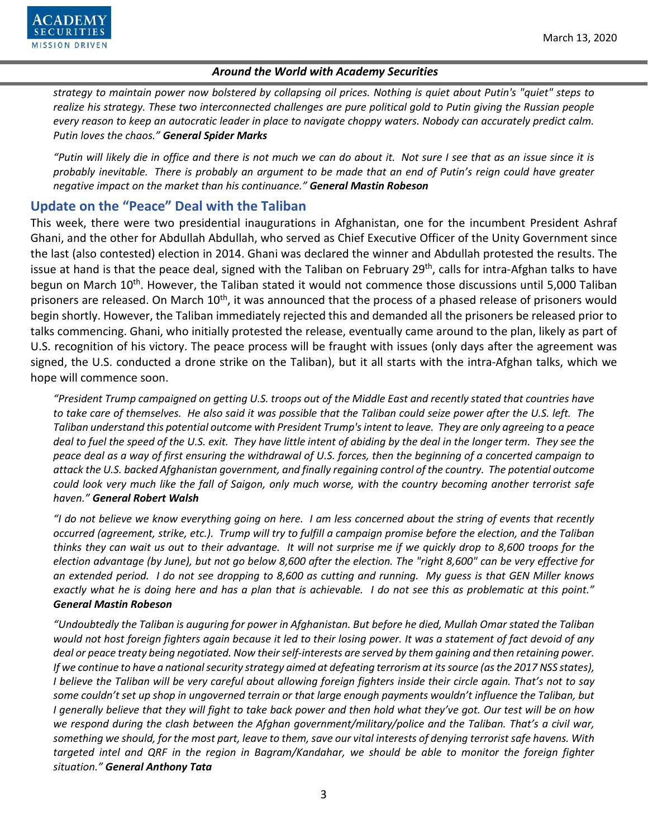

*strategy to maintain power now bolstered by collapsing oil prices. Nothing is quiet about Putin's "quiet" steps to realize his strategy. These two interconnected challenges are pure political gold to Putin giving the Russian people every reason to keep an autocratic leader in place to navigate choppy waters. Nobody can accurately predict calm. Putin loves the chaos." General Spider Marks*

*"Putin will likely die in office and there is not much we can do about it. Not sure I see that as an issue since it is probably inevitable. There is probably an argument to be made that an end of Putin's reign could have greater negative impact on the market than his continuance." General Mastin Robeson*

# **Update on the "Peace" Deal with the Taliban**

This week, there were two presidential inaugurations in Afghanistan, one for the incumbent President Ashraf Ghani, and the other for Abdullah Abdullah, who served as Chief Executive Officer of the Unity Government since the last (also contested) election in 2014. Ghani was declared the winner and Abdullah protested the results. The issue at hand is that the peace deal, signed with the Taliban on February 29<sup>th</sup>, calls for intra-Afghan talks to have begun on March 10<sup>th</sup>. However, the Taliban stated it would not commence those discussions until 5,000 Taliban prisoners are released. On March 10<sup>th</sup>, it was announced that the process of a phased release of prisoners would begin shortly. However, the Taliban immediately rejected this and demanded all the prisoners be released prior to talks commencing. Ghani, who initially protested the release, eventually came around to the plan, likely as part of U.S. recognition of his victory. The peace process will be fraught with issues (only days after the agreement was signed, the U.S. conducted a drone strike on the Taliban), but it all starts with the intra-Afghan talks, which we hope will commence soon.

*"President Trump campaigned on getting U.S. troops out of the Middle East and recently stated that countries have to take care of themselves. He also said it was possible that the Taliban could seize power after the U.S. left. The Taliban understand this potential outcome with President Trump's intent to leave. They are only agreeing to a peace deal to fuel the speed of the U.S. exit. They have little intent of abiding by the deal in the longer term. They see the peace deal as a way of first ensuring the withdrawal of U.S. forces, then the beginning of a concerted campaign to attack the U.S. backed Afghanistan government, and finally regaining control of the country. The potential outcome could look very much like the fall of Saigon, only much worse, with the country becoming another terrorist safe haven." General Robert Walsh*

*"I do not believe we know everything going on here. I am less concerned about the string of events that recently occurred (agreement, strike, etc.). Trump will try to fulfill a campaign promise before the election, and the Taliban thinks they can wait us out to their advantage. It will not surprise me if we quickly drop to 8,600 troops for the election advantage (by June), but not go below 8,600 after the election. The "right 8,600" can be very effective for an extended period. I do not see dropping to 8,600 as cutting and running. My guess is that GEN Miller knows exactly what he is doing here and has a plan that is achievable. I do not see this as problematic at this point." General Mastin Robeson*

*"Undoubtedly the Taliban is auguring for power in Afghanistan. But before he died, Mullah Omar stated the Taliban would not host foreign fighters again because it led to their losing power. It was a statement of fact devoid of any deal or peace treaty being negotiated. Now their self-interests are served by them gaining and then retaining power. If we continue to have a national security strategy aimed at defeating terrorism at its source (as the 2017 NSS states), I believe the Taliban will be very careful about allowing foreign fighters inside their circle again. That's not to say some couldn't set up shop in ungoverned terrain or that large enough payments wouldn't influence the Taliban, but I generally believe that they will fight to take back power and then hold what they've got. Our test will be on how we respond during the clash between the Afghan government/military/police and the Taliban. That's a civil war, something we should, for the most part, leave to them, save our vital interests of denying terrorist safe havens. With targeted intel and QRF in the region in Bagram/Kandahar, we should be able to monitor the foreign fighter situation." General Anthony Tata*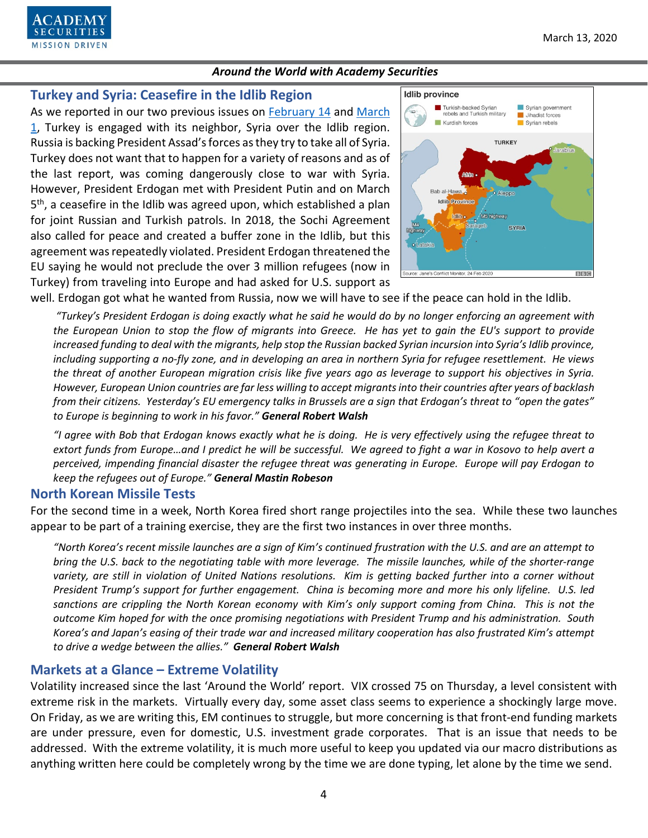

# **Turkey and Syria: Ceasefire in the Idlib Region**

As we reported in our two previous issues on [February 14](https://www.academysecurities.com/wordpress/wp-content/uploads/2020/02/Around-the-World-with-Academy-Securities-2-14-20.pdf) and March [1,](https://www.academysecurities.com/wordpress/wp-content/uploads/2020/03/Around-the-World-with-Academy-Securities-3-1-20.pdf) Turkey is engaged with its neighbor, Syria over the Idlib region. Russia is backing President Assad's forces as they try to take all of Syria. Turkey does not want that to happen for a variety of reasons and as of the last report, was coming dangerously close to war with Syria. However, President Erdogan met with President Putin and on March 5<sup>th</sup>, a ceasefire in the Idlib was agreed upon, which established a plan for joint Russian and Turkish patrols. In 2018, the Sochi Agreement also called for peace and created a buffer zone in the Idlib, but this agreement was repeatedly violated. President Erdogan threatened the EU saying he would not preclude the over 3 million refugees (now in Turkey) from traveling into Europe and had asked for U.S. support as



well. Erdogan got what he wanted from Russia, now we will have to see if the peace can hold in the Idlib.

*"Turkey's President Erdogan is doing exactly what he said he would do by no longer enforcing an agreement with the European Union to stop the flow of migrants into Greece. He has yet to gain the EU's support to provide increased funding to deal with the migrants, help stop the Russian backed Syrian incursion into Syria's Idlib province, including supporting a no-fly zone, and in developing an area in northern Syria for refugee resettlement. He views the threat of another European migration crisis like five years ago as leverage to support his objectives in Syria. However, European Union countries are far less willing to accept migrants into their countries after years of backlash from their citizens. Yesterday's EU emergency talks in Brussels are a sign that Erdogan's threat to "open the gates" to Europe is beginning to work in his favor." General Robert Walsh* 

*"I agree with Bob that Erdogan knows exactly what he is doing. He is very effectively using the refugee threat to extort funds from Europe…and I predict he will be successful. We agreed to fight a war in Kosovo to help avert a perceived, impending financial disaster the refugee threat was generating in Europe. Europe will pay Erdogan to keep the refugees out of Europe." General Mastin Robeson*

## **North Korean Missile Tests**

For the second time in a week, North Korea fired short range projectiles into the sea. While these two launches appear to be part of a training exercise, they are the first two instances in over three months.

*"North Korea's recent missile launches are a sign of Kim's continued frustration with the U.S. and are an attempt to bring the U.S. back to the negotiating table with more leverage. The missile launches, while of the shorter-range* variety, are still in violation of United Nations resolutions. Kim is getting backed further into a corner without *President Trump's support for further engagement. China is becoming more and more his only lifeline. U.S. led sanctions are crippling the North Korean economy with Kim's only support coming from China. This is not the outcome Kim hoped for with the once promising negotiations with President Trump and his administration. South Korea's and Japan's easing of their trade war and increased military cooperation has also frustrated Kim's attempt to drive a wedge between the allies." General Robert Walsh* 

# **Markets at a Glance – Extreme Volatility**

Volatility increased since the last 'Around the World' report. VIX crossed 75 on Thursday, a level consistent with extreme risk in the markets. Virtually every day, some asset class seems to experience a shockingly large move. On Friday, as we are writing this, EM continues to struggle, but more concerning is that front-end funding markets are under pressure, even for domestic, U.S. investment grade corporates. That is an issue that needs to be addressed. With the extreme volatility, it is much more useful to keep you updated via our macro distributions as anything written here could be completely wrong by the time we are done typing, let alone by the time we send.